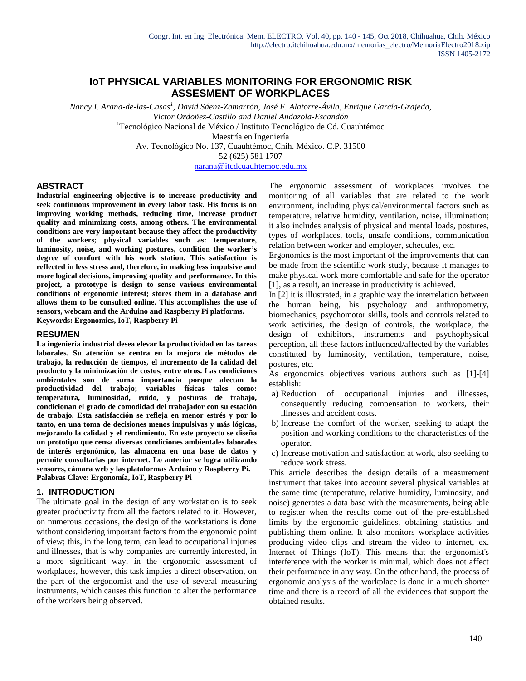# **IoT PHYSICAL VARIABLES MONITORING FOR ERGONOMIC RISK ASSESMENT OF WORKPLACES**

*Nancy I. Arana-de-las-Casas<sup>1</sup> , David Sáenz-Zamarrón, José F. Alatorre-Ávila, Enrique García-Grajeda, Víctor Ordoñez-Castillo and Daniel Andazola-Escandón* <sup>1</sup>Tecnológico Nacional de México / Instituto Tecnológico de Cd. Cuauhtémoc Maestría en Ingeniería Av. Tecnológico No. 137, Cuauhtémoc, Chih. México. C.P. 31500 52 (625) 581 1707 [narana@itcdcuauhtemoc.edu.mx](mailto:narana@itcdcuauhtemoc.edu.mx)

#### **ABSTRACT**

**Industrial engineering objective is to increase productivity and seek continuous improvement in every labor task. His focus is on improving working methods, reducing time, increase product quality and minimizing costs, among others. The environmental conditions are very important because they affect the productivity of the workers; physical variables such as: temperature, luminosity, noise, and working postures, condition the worker's degree of comfort with his work station. This satisfaction is reflected in less stress and, therefore, in making less impulsive and more logical decisions, improving quality and performance. In this project, a prototype is design to sense various environmental conditions of ergonomic interest; stores them in a database and allows them to be consulted online. This accomplishes the use of sensors, webcam and the Arduino and Raspberry Pi platforms. Keywords: Ergonomics, IoT, Raspberry Pi**

#### **RESUMEN**

**La ingeniería industrial desea elevar la productividad en las tareas laborales. Su atención se centra en la mejora de métodos de trabajo, la reducción de tiempos, el incremento de la calidad del producto y la minimización de costos, entre otros. Las condiciones ambientales son de suma importancia porque afectan la productividad del trabajo; variables físicas tales como: temperatura, luminosidad, ruido, y posturas de trabajo, condicionan el grado de comodidad del trabajador con su estación de trabajo. Esta satisfacción se refleja en menor estrés y por lo tanto, en una toma de decisiones menos impulsivas y más lógicas, mejorando la calidad y el rendimiento. En este proyecto se diseña un prototipo que censa diversas condiciones ambientales laborales de interés ergonómico, las almacena en una base de datos y permite consultarlas por internet. Lo anterior se logra utilizando sensores, cámara web y las plataformas Arduino y Raspberry Pi. Palabras Clave: Ergonomía, IoT, Raspberry Pi**

#### **1. INTRODUCTION**

The ultimate goal in the design of any workstation is to seek greater productivity from all the factors related to it. However, on numerous occasions, the design of the workstations is done without considering important factors from the ergonomic point of view; this, in the long term, can lead to occupational injuries and illnesses, that is why companies are currently interested, in a more significant way, in the ergonomic assessment of workplaces, however, this task implies a direct observation, on the part of the ergonomist and the use of several measuring instruments, which causes this function to alter the performance of the workers being observed.

The ergonomic assessment of workplaces involves the monitoring of all variables that are related to the work environment, including physical/environmental factors such as temperature, relative humidity, ventilation, noise, illumination; it also includes analysis of physical and mental loads, postures, types of workplaces, tools, unsafe conditions, communication relation between worker and employer, schedules, etc.

Ergonomics is the most important of the improvements that can be made from the scientific work study, because it manages to make physical work more comfortable and safe for the operator [1], as a result, an increase in productivity is achieved.

In [2] it is illustrated, in a graphic way the interrelation between the human being, his psychology and anthropometry, biomechanics, psychomotor skills, tools and controls related to work activities, the design of controls, the workplace, the design of exhibitors, instruments and psychophysical perception, all these factors influenced/affected by the variables constituted by luminosity, ventilation, temperature, noise, postures, etc.

As ergonomics objectives various authors such as [1]-[4] establish:

- a) Reduction of occupational injuries and illnesses, consequently reducing compensation to workers, their illnesses and accident costs.
- b) Increase the comfort of the worker, seeking to adapt the position and working conditions to the characteristics of the operator.
- c) Increase motivation and satisfaction at work, also seeking to reduce work stress.

This article describes the design details of a measurement instrument that takes into account several physical variables at the same time (temperature, relative humidity, luminosity, and noise) generates a data base with the measurements, being able to register when the results come out of the pre-established limits by the ergonomic guidelines, obtaining statistics and publishing them online. It also monitors workplace activities producing video clips and stream the video to internet, ex. Internet of Things (IoT). This means that the ergonomist's interference with the worker is minimal, which does not affect their performance in any way. On the other hand, the process of ergonomic analysis of the workplace is done in a much shorter time and there is a record of all the evidences that support the obtained results.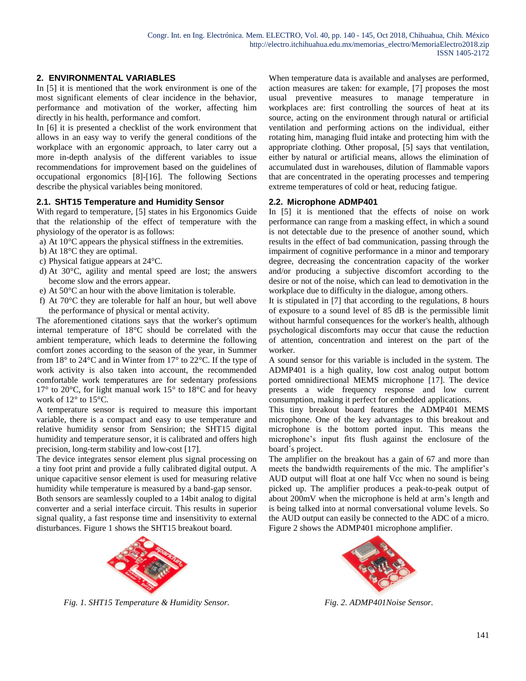# **2. ENVIRONMENTAL VARIABLES**

In [5] it is mentioned that the work environment is one of the most significant elements of clear incidence in the behavior, performance and motivation of the worker, affecting him directly in his health, performance and comfort.

In [6] it is presented a checklist of the work environment that allows in an easy way to verify the general conditions of the workplace with an ergonomic approach, to later carry out a more in-depth analysis of the different variables to issue recommendations for improvement based on the guidelines of occupational ergonomics [8]-[16]. The following Sections describe the physical variables being monitored.

# **2.1. SHT15 Temperature and Humidity Sensor**

With regard to temperature, [5] states in his Ergonomics Guide that the relationship of the effect of temperature with the physiology of the operator is as follows:

- a) At 10°C appears the physical stiffness in the extremities.
- b) At 18°C they are optimal.
- c) Physical fatigue appears at 24°C.
- d) At 30°C, agility and mental speed are lost; the answers become slow and the errors appear.
- e) At 50°C an hour with the above limitation is tolerable.
- f) At 70°C they are tolerable for half an hour, but well above the performance of physical or mental activity.

The aforementioned citations says that the worker's optimum internal temperature of 18°C should be correlated with the ambient temperature, which leads to determine the following comfort zones according to the season of the year, in Summer from  $18^{\circ}$  to  $24^{\circ}$ C and in Winter from  $17^{\circ}$  to  $22^{\circ}$ C. If the type of work activity is also taken into account, the recommended comfortable work temperatures are for sedentary professions  $17^{\circ}$  to  $20^{\circ}$ C, for light manual work  $15^{\circ}$  to  $18^{\circ}$ C and for heavy work of 12° to 15°C.

A temperature sensor is required to measure this important variable, there is a compact and easy to use temperature and relative humidity sensor from Sensirion; the SHT15 digital humidity and temperature sensor, it is calibrated and offers high precision, long-term stability and low-cost [17].

The device integrates sensor element plus signal processing on a tiny foot print and provide a fully calibrated digital output. A unique capacitive sensor element is used for measuring relative humidity while temperature is measured by a band-gap sensor.

Both sensors are seamlessly coupled to a 14bit analog to digital converter and a serial interface circuit. This results in superior signal quality, a fast response time and insensitivity to external disturbances. Figure 1 shows the SHT15 breakout board.



*Fig. 1. SHT15 Temperature & Humidity Sensor.*

When temperature data is available and analyses are performed, action measures are taken: for example, [7] proposes the most usual preventive measures to manage temperature in workplaces are: first controlling the sources of heat at its source, acting on the environment through natural or artificial ventilation and performing actions on the individual, either rotating him, managing fluid intake and protecting him with the appropriate clothing. Other proposal, [5] says that ventilation, either by natural or artificial means, allows the elimination of accumulated dust in warehouses, dilution of flammable vapors that are concentrated in the operating processes and tempering extreme temperatures of cold or heat, reducing fatigue.

# **2.2. Microphone ADMP401**

In [5] it is mentioned that the effects of noise on work performance can range from a masking effect, in which a sound is not detectable due to the presence of another sound, which results in the effect of bad communication, passing through the impairment of cognitive performance in a minor and temporary degree, decreasing the concentration capacity of the worker and/or producing a subjective discomfort according to the desire or not of the noise, which can lead to demotivation in the workplace due to difficulty in the dialogue, among others.

It is stipulated in [7] that according to the regulations, 8 hours of exposure to a sound level of 85 dB is the permissible limit without harmful consequences for the worker's health, although psychological discomforts may occur that cause the reduction of attention, concentration and interest on the part of the worker.

A sound sensor for this variable is included in the system. The ADMP401 is a high quality, low cost analog output bottom ported omnidirectional MEMS microphone [17]. The device presents a wide frequency response and low current consumption, making it perfect for embedded applications.

This tiny breakout board features the ADMP401 MEMS microphone. One of the key advantages to this breakout and microphone is the bottom ported input. This means the microphone's input fits flush against the enclosure of the board´s project.

The amplifier on the breakout has a gain of 67 and more than meets the bandwidth requirements of the mic. The amplifier's AUD output will float at one half Vcc when no sound is being picked up. The amplifier produces a peak-to-peak output of about 200mV when the microphone is held at arm's length and is being talked into at normal conversational volume levels. So the AUD output can easily be connected to the ADC of a micro. Figure 2 shows the ADMP401 microphone amplifier.



*Fig. 2. ADMP401Noise Sensor.*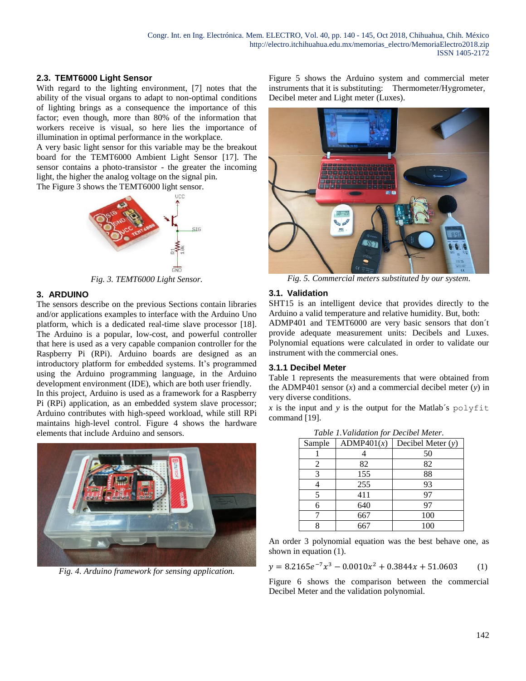# **2.3. TEMT6000 Light Sensor**

With regard to the lighting environment, [7] notes that the ability of the visual organs to adapt to non-optimal conditions of lighting brings as a consequence the importance of this factor; even though, more than 80% of the information that workers receive is visual, so here lies the importance of illumination in optimal performance in the workplace.

A very basic light sensor for this variable may be the breakout board for the TEMT6000 Ambient Light Sensor [17]. The sensor contains a photo-transistor - the greater the incoming light, the higher the analog voltage on the signal pin.

The Figure 3 shows the TEMT6000 light sensor.



*Fig. 3. TEMT6000 Light Sensor.*

# **3. ARDUINO**

The sensors describe on the previous Sections contain libraries and/or applications examples to interface with the Arduino Uno platform, which is a dedicated real-time slave processor [18]. The Arduino is a popular, low-cost, and powerful controller that here is used as a very capable companion controller for the Raspberry Pi (RPi). Arduino boards are designed as an introductory platform for embedded systems. It's programmed using the Arduino programming language, in the Arduino development environment (IDE), which are both user friendly.

In this project, Arduino is used as a framework for a Raspberry Pi (RPi) application, as an embedded system slave processor; Arduino contributes with high-speed workload, while still RPi maintains high-level control. Figure 4 shows the hardware elements that include Arduino and sensors.



*Fig. 4. Arduino framework for sensing application.*

Figure 5 shows the Arduino system and commercial meter instruments that it is substituting: Thermometer/Hygrometer, Decibel meter and Light meter (Luxes).



*Fig. 5. Commercial meters substituted by our system.*

# **3.1. Validation**

SHT15 is an intelligent device that provides directly to the Arduino a valid temperature and relative humidity. But, both: ADMP401 and TEMT6000 are very basic sensors that don´t provide adequate measurement units: Decibels and Luxes.

Polynomial equations were calculated in order to validate our instrument with the commercial ones.

# **3.1.1 Decibel Meter**

Table 1 represents the measurements that were obtained from the ADMP401 sensor (*x*) and a commercial decibel meter (*y*) in very diverse conditions.

 $x$  is the input and  $y$  is the output for the Matlab's polyfit command [19].

| Sample | ADMP401(x) | Decibel Meter $(y)$ |  |  |  |  |  |
|--------|------------|---------------------|--|--|--|--|--|
|        |            | 50                  |  |  |  |  |  |
| 2      | 82         | 82                  |  |  |  |  |  |
|        | 155        | 88                  |  |  |  |  |  |
|        | 255        | 93                  |  |  |  |  |  |
|        | 411        | 97                  |  |  |  |  |  |
| 6      | 640        | 97                  |  |  |  |  |  |
|        | 667        | 100                 |  |  |  |  |  |
|        |            | 100                 |  |  |  |  |  |

*Table 1.Validation for Decibel Meter.*

An order 3 polynomial equation was the best behave one, as shown in equation (1).

$$
y = 8.2165e^{-7}x^3 - 0.0010x^2 + 0.3844x + 51.0603
$$
 (1)

Figure 6 shows the comparison between the commercial Decibel Meter and the validation polynomial.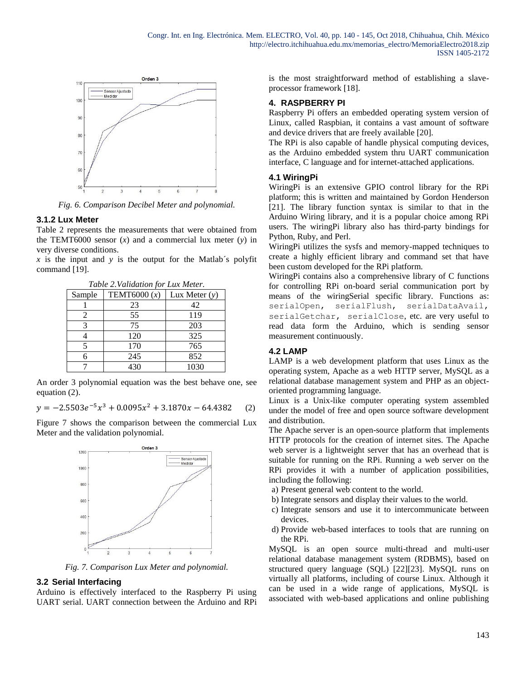

*Fig. 6. Comparison Decibel Meter and polynomial.*

#### **3.1.2 Lux Meter**

Table 2 represents the measurements that were obtained from the TEMT6000 sensor (*x*) and a commercial lux meter (*y*) in very diverse conditions.

 $x$  is the input and  $y$  is the output for the Matlab's polyfit command [19].

| Table 2. Validation for Lux Meter. |                |                 |  |  |  |  |  |
|------------------------------------|----------------|-----------------|--|--|--|--|--|
| Sample                             | TEMT6000 $(x)$ | Lux Meter $(y)$ |  |  |  |  |  |
|                                    | 23             | 42              |  |  |  |  |  |
| 2                                  | 55             | 119             |  |  |  |  |  |
| 3                                  | 75             | 203             |  |  |  |  |  |
|                                    | 120            | 325             |  |  |  |  |  |
|                                    | 170            | 765             |  |  |  |  |  |
| 6                                  | 245            | 852             |  |  |  |  |  |
|                                    | 430            | 1030            |  |  |  |  |  |

An order 3 polynomial equation was the best behave one, see equation (2).

$$
y = -2.5503e^{-5}x^3 + 0.0095x^2 + 3.1870x - 64.4382 \tag{2}
$$

Figure 7 shows the comparison between the commercial Lux Meter and the validation polynomial.



*Fig. 7. Comparison Lux Meter and polynomial.*

# **3.2 Serial Interfacing**

Arduino is effectively interfaced to the Raspberry Pi using UART serial. UART connection between the Arduino and RPi is the most straightforward method of establishing a slaveprocessor framework [18].

### **4. RASPBERRY PI**

Raspberry Pi offers an embedded operating system version of Linux, called Raspbian, it contains a vast amount of software and device drivers that are freely available [20].

The RPi is also capable of handle physical computing devices, as the Arduino embedded system thru UART communication interface, C language and for internet-attached applications.

#### **4.1 WiringPi**

WiringPi is an extensive GPIO control library for the RPi platform; this is written and maintained by Gordon Henderson [21]. The library function syntax is similar to that in the Arduino Wiring library, and it is a popular choice among RPi users. The wiringPi library also has third-party bindings for Python, Ruby, and Perl.

WiringPi utilizes the sysfs and memory-mapped techniques to create a highly efficient library and command set that have been custom developed for the RPi platform.

WiringPi contains also a comprehensive library of C functions for controlling RPi on-board serial communication port by means of the wiringSerial specific library. Functions as: serialOpen, serialFlush, serialDataAvail, serialGetchar, serialClose, etc. are very useful to read data form the Arduino, which is sending sensor measurement continuously.

#### **4.2 LAMP**

LAMP is a web development platform that uses Linux as the operating system, Apache as a web HTTP server, MySQL as a relational database management system and PHP as an objectoriented programming language.

Linux is a Unix-like computer operating system assembled under the model of free and open source software development and distribution.

The Apache server is an open-source platform that implements HTTP protocols for the creation of internet sites. The Apache web server is a lightweight server that has an overhead that is suitable for running on the RPi. Running a web server on the RPi provides it with a number of application possibilities, including the following:

- a) Present general web content to the world.
- b) Integrate sensors and display their values to the world.
- c) Integrate sensors and use it to intercommunicate between devices.
- d) Provide web-based interfaces to tools that are running on the RPi.

MySQL is an open source multi-thread and multi-user relational database management system (RDBMS), based on structured query language (SQL) [22][23]. MySQL runs on virtually all platforms, including of course Linux. Although it can be used in a wide range of applications, MySQL is associated with web-based applications and online publishing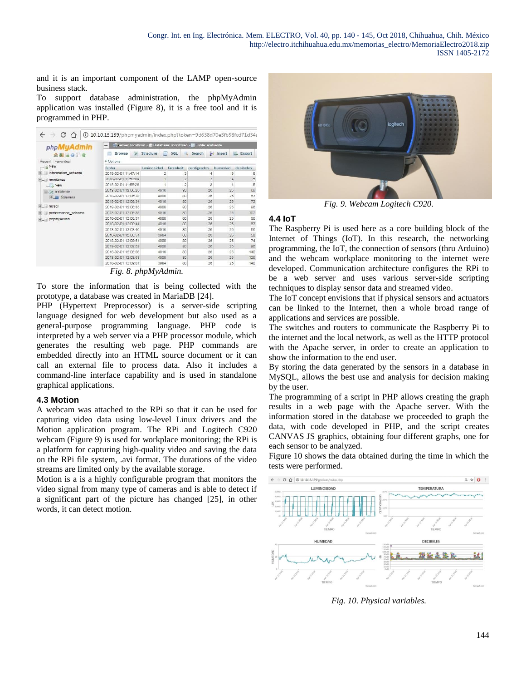and it is an important component of the LAMP open-source business stack.

To support database administration, the phpMyAdmin application was installed (Figure 8), it is a free tool and it is programmed in PHP.

| phpMyAdmin                         | E. Server: localhost » ID Database: monitoreo » El Table: ambiente<br>$\overline{\phantom{a}}$ |                |                |                |                  |               |  |  |
|------------------------------------|------------------------------------------------------------------------------------------------|----------------|----------------|----------------|------------------|---------------|--|--|
| 合同运动门会                             | 动<br>Browse                                                                                    | Structure<br>Ш | SOL            | Search         | <b>Ac</b> Insert | Export<br>251 |  |  |
| Recent Favorites                   | + Options                                                                                      |                |                |                |                  |               |  |  |
| $-6$ New                           | fecha                                                                                          | luminosidad    | farenheit      | centigrados    | humedad          | decibeles     |  |  |
| information schema                 | 2018-02-01 11:47:14                                                                            |                | з              |                | 5                |               |  |  |
| monitoreo                          | 2018-02-01 11:52:09                                                                            |                | $\overline{2}$ | $\overline{a}$ | 4                | 5             |  |  |
| New                                | 2018-02-01 11:55:26                                                                            |                | $\overline{2}$ | з              | 4                | 5             |  |  |
| <b>Exambiente</b><br>+ III Columns | 2018-02-01 12:08:25                                                                            | 4016           | 80             | 26             | 25               | 69            |  |  |
|                                    | 2018-02-01 12:08:28                                                                            | 4000           | 80             | 26             | 25               | 63            |  |  |
|                                    | 2018-02-01 12:06:34                                                                            | 4016           | 80             | 26             | 25               | 73            |  |  |
| $+$ $\equiv$ mysql                 | 2018-02-01 12:06:35                                                                            | 4000           | 80             | 26             | 25               | 96            |  |  |
| performance schema<br>phpmyadmin   | 2018-02-01 12:08:35                                                                            | 4016           | 80             | 26             | 25               | 107           |  |  |
|                                    | 2018-02-01 12:06:37                                                                            | 4000           | 80             | 26             | 25               | 66            |  |  |
|                                    | 2018-02-01 12:08:44                                                                            | 4016           | 80             | 26             | 25               | 63            |  |  |
|                                    | 2018-02-01 12:08:46                                                                            | 4016           | 80             | 26             | 25               | 56            |  |  |
|                                    | 2018-02-01 12:08:51                                                                            | 3984           | 80             | 26             | 25               | 58            |  |  |
|                                    | 2018-02-01 12:08:51                                                                            | 4000           | 80             | 26             | 25               | 74            |  |  |
|                                    | 2018-02-01 12:08:53                                                                            | 4000           | 80             | 26             | 25               | 96            |  |  |
|                                    | 2018-02-01 12:08:56                                                                            | 4016           | 80             | 26             | 25               | 140           |  |  |
|                                    | 2018-02-01 12:08:58                                                                            | 4000           | 80             | 26             | 25               | 129           |  |  |
|                                    | 2018-02-01 12:09:01                                                                            | 3984           | 80             | 26             | 25               | 140           |  |  |

*Fig. 8. phpMyAdmin.*

To store the information that is being collected with the prototype, a database was created in MariaDB [24].

PHP (Hypertext Preprocessor) is a server-side scripting language designed for web development but also used as a general-purpose programming language. PHP code is interpreted by a web server via a PHP processor module, which generates the resulting web page. PHP commands are embedded directly into an HTML source document or it can call an external file to process data. Also it includes a command-line interface capability and is used in standalone graphical applications.

# **4.3 Motion**

A webcam was attached to the RPi so that it can be used for capturing video data using low-level Linux drivers and the Motion application program. The RPi and Logitech C920 webcam (Figure 9) is used for workplace monitoring; the RPi is a platform for capturing high-quality video and saving the data on the RPi file system, .avi format. The durations of the video streams are limited only by the available storage.

Motion is a is a highly configurable program that monitors the video signal from many type of cameras and is able to detect if a significant part of the picture has changed [25], in other words, it can detect motion.



*Fig. 9. Webcam Logitech C920.*

# **4.4 IoT**

The Raspberry Pi is used here as a core building block of the Internet of Things (IoT). In this research, the networking programming, the IoT, the connection of sensors (thru Arduino) and the webcam workplace monitoring to the internet were developed. Communication architecture configures the RPi to be a web server and uses various server-side scripting techniques to display sensor data and streamed video.

The IoT concept envisions that if physical sensors and actuators can be linked to the Internet, then a whole broad range of applications and services are possible.

The switches and routers to communicate the Raspberry Pi to the internet and the local network, as well as the HTTP protocol with the Apache server, in order to create an application to show the information to the end user.

By storing the data generated by the sensors in a database in MySQL, allows the best use and analysis for decision making by the user.

The programming of a script in PHP allows creating the graph results in a web page with the Apache server. With the information stored in the database we proceeded to graph the data, with code developed in PHP, and the script creates CANVAS JS graphics, obtaining four different graphs, one for each sensor to be analyzed.

Figure 10 shows the data obtained during the time in which the tests were performed.



*Fig. 10. Physical variables.*